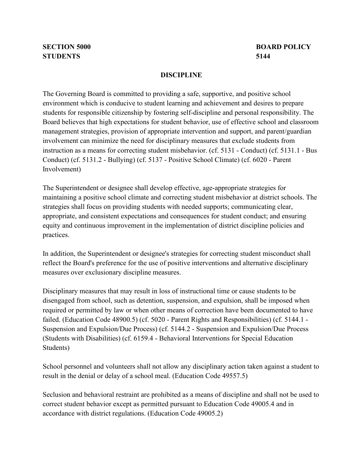## **DISCIPLINE**

 instruction as a means for correcting student misbehavior. (cf. 5131 - Conduct) (cf. 5131.1 - Bus Conduct) (cf. 5131.2 - Bullying) (cf. 5137 - Positive School Climate) (cf. 6020 - Parent The Governing Board is committed to providing a safe, supportive, and positive school environment which is conducive to student learning and achievement and desires to prepare students for responsible citizenship by fostering self-discipline and personal responsibility. The Board believes that high expectations for student behavior, use of effective school and classroom management strategies, provision of appropriate intervention and support, and parent/guardian involvement can minimize the need for disciplinary measures that exclude students from Involvement)

The Superintendent or designee shall develop effective, age-appropriate strategies for maintaining a positive school climate and correcting student misbehavior at district schools. The strategies shall focus on providing students with needed supports; communicating clear, appropriate, and consistent expectations and consequences for student conduct; and ensuring equity and continuous improvement in the implementation of district discipline policies and practices.

In addition, the Superintendent or designee's strategies for correcting student misconduct shall reflect the Board's preference for the use of positive interventions and alternative disciplinary measures over exclusionary discipline measures.

 Suspension and Expulsion/Due Process) (cf. 5144.2 - Suspension and Expulsion/Due Process Students) Disciplinary measures that may result in loss of instructional time or cause students to be disengaged from school, such as detention, suspension, and expulsion, shall be imposed when required or permitted by law or when other means of correction have been documented to have failed. (Education Code 48900.5) (cf. 5020 - Parent Rights and Responsibilities) (cf. 5144.1 - (Students with Disabilities) (cf. 6159.4 - Behavioral Interventions for Special Education

School personnel and volunteers shall not allow any disciplinary action taken against a student to result in the denial or delay of a school meal. (Education Code 49557.5)

 accordance with district regulations. (Education Code 49005.2) Seclusion and behavioral restraint are prohibited as a means of discipline and shall not be used to correct student behavior except as permitted pursuant to Education Code 49005.4 and in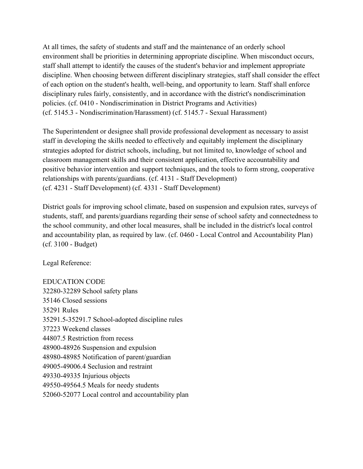At all times, the safety of students and staff and the maintenance of an orderly school environment shall be priorities in determining appropriate discipline. When misconduct occurs, staff shall attempt to identify the causes of the student's behavior and implement appropriate discipline. When choosing between different disciplinary strategies, staff shall consider the effect of each option on the student's health, well-being, and opportunity to learn. Staff shall enforce disciplinary rules fairly, consistently, and in accordance with the district's nondiscrimination policies. (cf. 0410 - Nondiscrimination in District Programs and Activities) (cf. 5145.3 - Nondiscrimination/Harassment) (cf. 5145.7 - Sexual Harassment)

The Superintendent or designee shall provide professional development as necessary to assist staff in developing the skills needed to effectively and equitably implement the disciplinary strategies adopted for district schools, including, but not limited to, knowledge of school and classroom management skills and their consistent application, effective accountability and positive behavior intervention and support techniques, and the tools to form strong, cooperative relationships with parents/guardians. (cf. 4131 - Staff Development) (cf. 4231 - Staff Development) (cf. 4331 - Staff Development)

 (cf. 3100 - Budget) District goals for improving school climate, based on suspension and expulsion rates, surveys of students, staff, and parents/guardians regarding their sense of school safety and connectedness to the school community, and other local measures, shall be included in the district's local control and accountability plan, as required by law. (cf. 0460 - Local Control and Accountability Plan)

Legal Reference:

EDUCATION CODE 32280-32289 School safety plans 35146 Closed sessions 35291 Rules 35291.5-35291.7 School-adopted discipline rules 37223 Weekend classes 44807.5 Restriction from recess 48900-48926 Suspension and expulsion 48980-48985 Notification of parent/guardian 49005-49006.4 Seclusion and restraint 49330-49335 Injurious objects 49550-49564.5 Meals for needy students 52060-52077 Local control and accountability plan